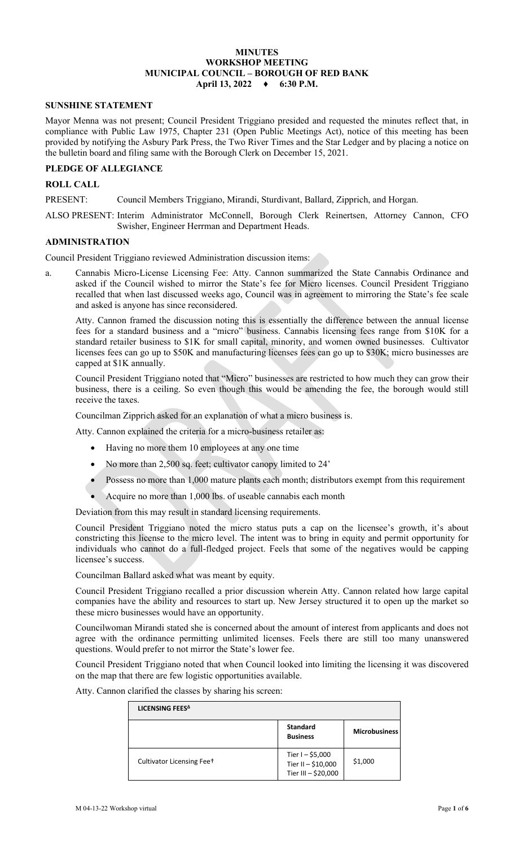# **MINUTES WORKSHOP MEETING MUNICIPAL COUNCIL – BOROUGH OF RED BANK**

# **April 13, 2022 ♦ 6:30 P.M.**

#### **SUNSHINE STATEMENT**

Mayor Menna was not present; Council President Triggiano presided and requested the minutes reflect that, in compliance with Public Law 1975, Chapter 231 (Open Public Meetings Act), notice of this meeting has been provided by notifying the Asbury Park Press, the Two River Times and the Star Ledger and by placing a notice on the bulletin board and filing same with the Borough Clerk on December 15, 2021.

# **PLEDGE OF ALLEGIANCE**

# **ROLL CALL**

PRESENT: Council Members Triggiano, Mirandi, Sturdivant, Ballard, Zipprich, and Horgan.

ALSO PRESENT: Interim Administrator McConnell, Borough Clerk Reinertsen, Attorney Cannon, CFO Swisher, Engineer Herrman and Department Heads.

#### **ADMINISTRATION**

Council President Triggiano reviewed Administration discussion items:

a. Cannabis Micro-License Licensing Fee: Atty. Cannon summarized the State Cannabis Ordinance and asked if the Council wished to mirror the State's fee for Micro licenses. Council President Triggiano recalled that when last discussed weeks ago, Council was in agreement to mirroring the State's fee scale and asked is anyone has since reconsidered.

Atty. Cannon framed the discussion noting this is essentially the difference between the annual license fees for a standard business and a "micro" business. Cannabis licensing fees range from \$10K for a standard retailer business to \$1K for small capital, minority, and women owned businesses. Cultivator licenses fees can go up to \$50K and manufacturing licenses fees can go up to \$30K; micro businesses are capped at \$1K annually.

 Council President Triggiano noted that "Micro" businesses are restricted to how much they can grow their business, there is a ceiling. So even though this would be amending the fee, the borough would still receive the taxes.

Councilman Zipprich asked for an explanation of what a micro business is.

Atty. Cannon explained the criteria for a micro-business retailer as:

- Having no more them 10 employees at any one time
- No more than 2,500 sq. feet; cultivator canopy limited to 24'
- Possess no more than 1,000 mature plants each month; distributors exempt from this requirement
- Acquire no more than 1,000 lbs. of useable cannabis each month

Deviation from this may result in standard licensing requirements.

Council President Triggiano noted the micro status puts a cap on the licensee's growth, it's about constricting this license to the micro level. The intent was to bring in equity and permit opportunity for individuals who cannot do a full-fledged project. Feels that some of the negatives would be capping licensee's success.

Councilman Ballard asked what was meant by equity.

Council President Triggiano recalled a prior discussion wherein Atty. Cannon related how large capital companies have the ability and resources to start up. New Jersey structured it to open up the market so these micro businesses would have an opportunity.

Councilwoman Mirandi stated she is concerned about the amount of interest from applicants and does not agree with the ordinance permitting unlimited licenses. Feels there are still too many unanswered questions. Would prefer to not mirror the State's lower fee.

Council President Triggiano noted that when Council looked into limiting the licensing it was discovered on the map that there are few logistic opportunities available.

Atty. Cannon clarified the classes by sharing his screen:

| LICENSING FEES <sup>A</sup> |                                                                |                      |
|-----------------------------|----------------------------------------------------------------|----------------------|
|                             | <b>Standard</b><br><b>Business</b>                             | <b>Microbusiness</b> |
| Cultivator Licensing Feet   | Tier $I - $5,000$<br>Tier II - \$10,000<br>Tier III - \$20,000 | \$1,000              |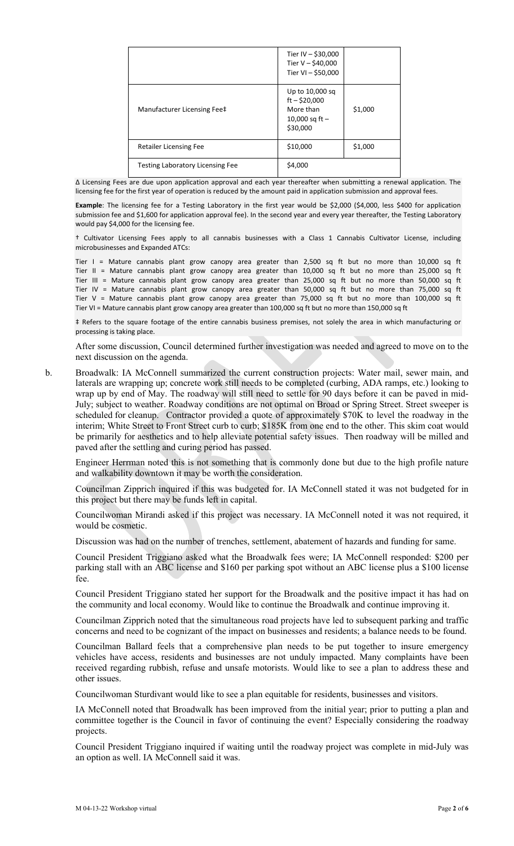|                                         | Tier IV - \$30,000<br>Tier $V - $40,000$<br>Tier VI - \$50,000                 |         |
|-----------------------------------------|--------------------------------------------------------------------------------|---------|
| Manufacturer Licensing Fee‡             | Up to 10,000 sq<br>$ft - $20,000$<br>More than<br>10,000 sq ft $-$<br>\$30,000 | \$1,000 |
| <b>Retailer Licensing Fee</b>           | \$10,000                                                                       | \$1,000 |
| <b>Testing Laboratory Licensing Fee</b> | \$4,000                                                                        |         |

Δ Licensing Fees are due upon application approval and each year thereafter when submitting a renewal application. The licensing fee for the first year of operation is reduced by the amount paid in application submission and approval fees

**Example**: The licensing fee for a Testing Laboratory in the first year would be \$2,000 (\$4,000, less \$400 for application submission fee and \$1,600 for application approval fee). In the second year and every year thereafter, the Testing Laboratory would pay \$4,000 for the licensing fee.

† Cultivator Licensing Fees apply to all cannabis businesses with a Class 1 Cannabis Cultivator License, including microbusinesses and Expanded ATCs:

Tier I = Mature cannabis plant grow canopy area greater than 2,500 sq ft but no more than 10,000 sq ft Tier II = Mature cannabis plant grow canopy area greater than 10,000 sq ft but no more than 25,000 sq ft Tier III = Mature cannabis plant grow canopy area greater than 25,000 sq ft but no more than 50,000 sq ft Tier IV = Mature cannabis plant grow canopy area greater than 50,000 sq ft but no more than 75,000 sq ft Tier V = Mature cannabis plant grow canopy area greater than 75,000 sq ft but no more than 100,000 sq ft Tier VI = Mature cannabis plant grow canopy area greater than 100,000 sq ft but no more than 150,000 sq ft

‡ Refers to the square footage of the entire cannabis business premises, not solely the area in which manufacturing or processing is taking place.

After some discussion, Council determined further investigation was needed and agreed to move on to the next discussion on the agenda.

b. Broadwalk: IA McConnell summarized the current construction projects: Water mail, sewer main, and laterals are wrapping up; concrete work still needs to be completed (curbing, ADA ramps, etc.) looking to wrap up by end of May. The roadway will still need to settle for 90 days before it can be paved in mid-July; subject to weather. Roadway conditions are not optimal on Broad or Spring Street. Street sweeper is scheduled for cleanup. Contractor provided a quote of approximately \$70K to level the roadway in the interim; White Street to Front Street curb to curb; \$185K from one end to the other. This skim coat would be primarily for aesthetics and to help alleviate potential safety issues. Then roadway will be milled and paved after the settling and curing period has passed.

Engineer Herrman noted this is not something that is commonly done but due to the high profile nature and walkability downtown it may be worth the consideration.

Councilman Zipprich inquired if this was budgeted for. IA McConnell stated it was not budgeted for in this project but there may be funds left in capital.

Councilwoman Mirandi asked if this project was necessary. IA McConnell noted it was not required, it would be cosmetic.

Discussion was had on the number of trenches, settlement, abatement of hazards and funding for same.

Council President Triggiano asked what the Broadwalk fees were; IA McConnell responded: \$200 per parking stall with an ABC license and \$160 per parking spot without an ABC license plus a \$100 license fee.

Council President Triggiano stated her support for the Broadwalk and the positive impact it has had on the community and local economy. Would like to continue the Broadwalk and continue improving it.

Councilman Zipprich noted that the simultaneous road projects have led to subsequent parking and traffic concerns and need to be cognizant of the impact on businesses and residents; a balance needs to be found.

Councilman Ballard feels that a comprehensive plan needs to be put together to insure emergency vehicles have access, residents and businesses are not unduly impacted. Many complaints have been received regarding rubbish, refuse and unsafe motorists. Would like to see a plan to address these and other issues.

Councilwoman Sturdivant would like to see a plan equitable for residents, businesses and visitors.

IA McConnell noted that Broadwalk has been improved from the initial year; prior to putting a plan and committee together is the Council in favor of continuing the event? Especially considering the roadway projects.

Council President Triggiano inquired if waiting until the roadway project was complete in mid-July was an option as well. IA McConnell said it was.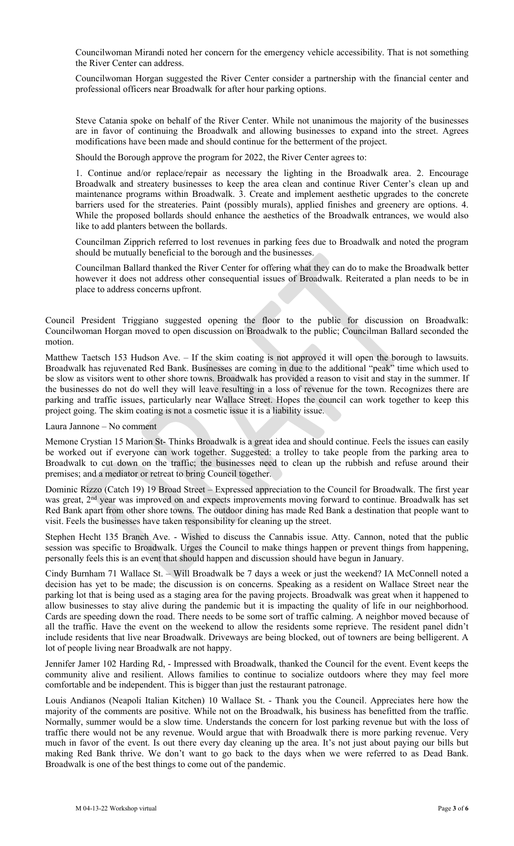Councilwoman Mirandi noted her concern for the emergency vehicle accessibility. That is not something the River Center can address.

Councilwoman Horgan suggested the River Center consider a partnership with the financial center and professional officers near Broadwalk for after hour parking options.

Steve Catania spoke on behalf of the River Center. While not unanimous the majority of the businesses are in favor of continuing the Broadwalk and allowing businesses to expand into the street. Agrees modifications have been made and should continue for the betterment of the project.

Should the Borough approve the program for 2022, the River Center agrees to:

1. Continue and/or replace/repair as necessary the lighting in the Broadwalk area. 2. Encourage Broadwalk and streatery businesses to keep the area clean and continue River Center's clean up and maintenance programs within Broadwalk. 3. Create and implement aesthetic upgrades to the concrete barriers used for the streateries. Paint (possibly murals), applied finishes and greenery are options. 4. While the proposed bollards should enhance the aesthetics of the Broadwalk entrances, we would also like to add planters between the bollards.

Councilman Zipprich referred to lost revenues in parking fees due to Broadwalk and noted the program should be mutually beneficial to the borough and the businesses.

Councilman Ballard thanked the River Center for offering what they can do to make the Broadwalk better however it does not address other consequential issues of Broadwalk. Reiterated a plan needs to be in place to address concerns upfront.

Council President Triggiano suggested opening the floor to the public for discussion on Broadwalk: Councilwoman Horgan moved to open discussion on Broadwalk to the public; Councilman Ballard seconded the motion.

Matthew Taetsch 153 Hudson Ave. – If the skim coating is not approved it will open the borough to lawsuits. Broadwalk has rejuvenated Red Bank. Businesses are coming in due to the additional "peak" time which used to be slow as visitors went to other shore towns. Broadwalk has provided a reason to visit and stay in the summer. If the businesses do not do well they will leave resulting in a loss of revenue for the town. Recognizes there are parking and traffic issues, particularly near Wallace Street. Hopes the council can work together to keep this project going. The skim coating is not a cosmetic issue it is a liability issue.

Laura Jannone – No comment

Memone Crystian 15 Marion St- Thinks Broadwalk is a great idea and should continue. Feels the issues can easily be worked out if everyone can work together. Suggested: a trolley to take people from the parking area to Broadwalk to cut down on the traffic; the businesses need to clean up the rubbish and refuse around their premises; and a mediator or retreat to bring Council together.

Dominic Rizzo (Catch 19) 19 Broad Street – Expressed appreciation to the Council for Broadwalk. The first year was great, 2<sup>nd</sup> year was improved on and expects improvements moving forward to continue. Broadwalk has set Red Bank apart from other shore towns. The outdoor dining has made Red Bank a destination that people want to visit. Feels the businesses have taken responsibility for cleaning up the street.

Stephen Hecht 135 Branch Ave. - Wished to discuss the Cannabis issue. Atty. Cannon, noted that the public session was specific to Broadwalk. Urges the Council to make things happen or prevent things from happening, personally feels this is an event that should happen and discussion should have begun in January.

Cindy Burnham 71 Wallace St. – Will Broadwalk be 7 days a week or just the weekend? IA McConnell noted a decision has yet to be made; the discussion is on concerns. Speaking as a resident on Wallace Street near the parking lot that is being used as a staging area for the paving projects. Broadwalk was great when it happened to allow businesses to stay alive during the pandemic but it is impacting the quality of life in our neighborhood. Cards are speeding down the road. There needs to be some sort of traffic calming. A neighbor moved because of all the traffic. Have the event on the weekend to allow the residents some reprieve. The resident panel didn't include residents that live near Broadwalk. Driveways are being blocked, out of towners are being belligerent. A lot of people living near Broadwalk are not happy.

Jennifer Jamer 102 Harding Rd, - Impressed with Broadwalk, thanked the Council for the event. Event keeps the community alive and resilient. Allows families to continue to socialize outdoors where they may feel more comfortable and be independent. This is bigger than just the restaurant patronage.

Louis Andianos (Neapoli Italian Kitchen) 10 Wallace St. - Thank you the Council. Appreciates here how the majority of the comments are positive. While not on the Broadwalk, his business has benefitted from the traffic. Normally, summer would be a slow time. Understands the concern for lost parking revenue but with the loss of traffic there would not be any revenue. Would argue that with Broadwalk there is more parking revenue. Very much in favor of the event. Is out there every day cleaning up the area. It's not just about paying our bills but making Red Bank thrive. We don't want to go back to the days when we were referred to as Dead Bank. Broadwalk is one of the best things to come out of the pandemic.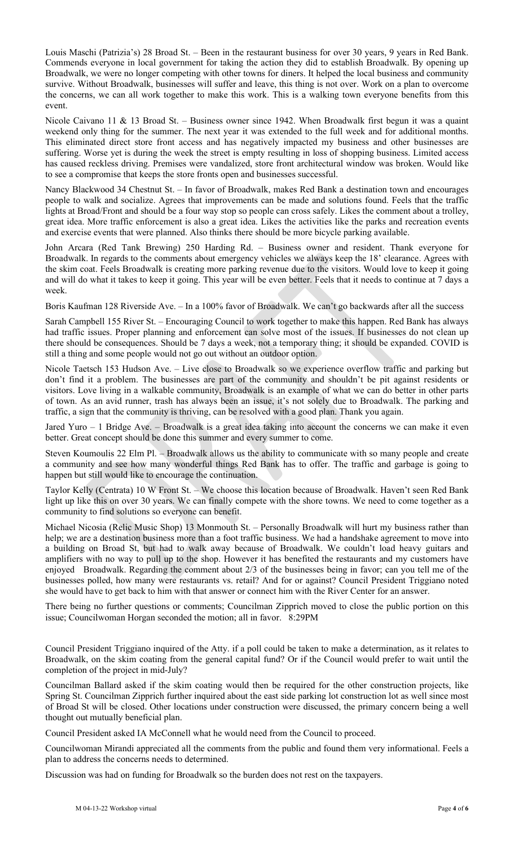Louis Maschi (Patrizia's) 28 Broad St. – Been in the restaurant business for over 30 years, 9 years in Red Bank. Commends everyone in local government for taking the action they did to establish Broadwalk. By opening up Broadwalk, we were no longer competing with other towns for diners. It helped the local business and community survive. Without Broadwalk, businesses will suffer and leave, this thing is not over. Work on a plan to overcome the concerns, we can all work together to make this work. This is a walking town everyone benefits from this event.

Nicole Caivano 11 & 13 Broad St. – Business owner since 1942. When Broadwalk first begun it was a quaint weekend only thing for the summer. The next year it was extended to the full week and for additional months. This eliminated direct store front access and has negatively impacted my business and other businesses are suffering. Worse yet is during the week the street is empty resulting in loss of shopping business. Limited access has caused reckless driving. Premises were vandalized, store front architectural window was broken. Would like to see a compromise that keeps the store fronts open and businesses successful.

Nancy Blackwood 34 Chestnut St. – In favor of Broadwalk, makes Red Bank a destination town and encourages people to walk and socialize. Agrees that improvements can be made and solutions found. Feels that the traffic lights at Broad/Front and should be a four way stop so people can cross safely. Likes the comment about a trolley, great idea. More traffic enforcement is also a great idea. Likes the activities like the parks and recreation events and exercise events that were planned. Also thinks there should be more bicycle parking available.

John Arcara (Red Tank Brewing) 250 Harding Rd. – Business owner and resident. Thank everyone for Broadwalk. In regards to the comments about emergency vehicles we always keep the 18' clearance. Agrees with the skim coat. Feels Broadwalk is creating more parking revenue due to the visitors. Would love to keep it going and will do what it takes to keep it going. This year will be even better. Feels that it needs to continue at 7 days a week.

Boris Kaufman 128 Riverside Ave. – In a 100% favor of Broadwalk. We can't go backwards after all the success

Sarah Campbell 155 River St. – Encouraging Council to work together to make this happen. Red Bank has always had traffic issues. Proper planning and enforcement can solve most of the issues. If businesses do not clean up there should be consequences. Should be 7 days a week, not a temporary thing; it should be expanded. COVID is still a thing and some people would not go out without an outdoor option.

Nicole Taetsch 153 Hudson Ave. – Live close to Broadwalk so we experience overflow traffic and parking but don't find it a problem. The businesses are part of the community and shouldn't be pit against residents or visitors. Love living in a walkable community, Broadwalk is an example of what we can do better in other parts of town. As an avid runner, trash has always been an issue, it's not solely due to Broadwalk. The parking and traffic, a sign that the community is thriving, can be resolved with a good plan. Thank you again.

Jared Yuro – 1 Bridge Ave. – Broadwalk is a great idea taking into account the concerns we can make it even better. Great concept should be done this summer and every summer to come.

Steven Koumoulis 22 Elm Pl. – Broadwalk allows us the ability to communicate with so many people and create a community and see how many wonderful things Red Bank has to offer. The traffic and garbage is going to happen but still would like to encourage the continuation.

Taylor Kelly (Centrata) 10 W Front St. – We choose this location because of Broadwalk. Haven't seen Red Bank light up like this on over 30 years. We can finally compete with the shore towns. We need to come together as a community to find solutions so everyone can benefit.

Michael Nicosia (Relic Music Shop) 13 Monmouth St. – Personally Broadwalk will hurt my business rather than help; we are a destination business more than a foot traffic business. We had a handshake agreement to move into a building on Broad St, but had to walk away because of Broadwalk. We couldn't load heavy guitars and amplifiers with no way to pull up to the shop. However it has benefited the restaurants and my customers have enjoyed Broadwalk. Regarding the comment about 2/3 of the businesses being in favor; can you tell me of the businesses polled, how many were restaurants vs. retail? And for or against? Council President Triggiano noted she would have to get back to him with that answer or connect him with the River Center for an answer.

There being no further questions or comments; Councilman Zipprich moved to close the public portion on this issue; Councilwoman Horgan seconded the motion; all in favor. 8:29PM

Council President Triggiano inquired of the Atty. if a poll could be taken to make a determination, as it relates to Broadwalk, on the skim coating from the general capital fund? Or if the Council would prefer to wait until the completion of the project in mid-July?

Councilman Ballard asked if the skim coating would then be required for the other construction projects, like Spring St. Councilman Zipprich further inquired about the east side parking lot construction lot as well since most of Broad St will be closed. Other locations under construction were discussed, the primary concern being a well thought out mutually beneficial plan.

Council President asked IA McConnell what he would need from the Council to proceed.

Councilwoman Mirandi appreciated all the comments from the public and found them very informational. Feels a plan to address the concerns needs to determined.

Discussion was had on funding for Broadwalk so the burden does not rest on the taxpayers.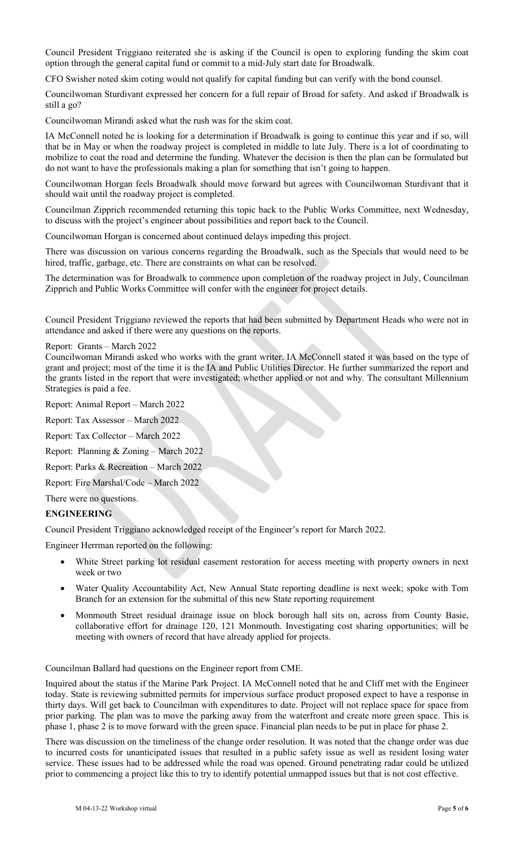Council President Triggiano reiterated she is asking if the Council is open to exploring funding the skim coat option through the general capital fund or commit to a mid-July start date for Broadwalk.

CFO Swisher noted skim coting would not qualify for capital funding but can verify with the bond counsel.

Councilwoman Sturdivant expressed her concern for a full repair of Broad for safety. And asked if Broadwalk is still a go?

Councilwoman Mirandi asked what the rush was for the skim coat.

IA McConnell noted he is looking for a determination if Broadwalk is going to continue this year and if so, will that be in May or when the roadway project is completed in middle to late July. There is a lot of coordinating to mobilize to coat the road and determine the funding. Whatever the decision is then the plan can be formulated but do not want to have the professionals making a plan for something that isn't going to happen.

Councilwoman Horgan feels Broadwalk should move forward but agrees with Councilwoman Sturdivant that it should wait until the roadway project is completed.

Councilman Zipprich recommended returning this topic back to the Public Works Committee, next Wednesday, to discuss with the project's engineer about possibilities and report back to the Council.

Councilwoman Horgan is concerned about continued delays impeding this project.

There was discussion on various concerns regarding the Broadwalk, such as the Specials that would need to be hired, traffic, garbage, etc. There are constraints on what can be resolved.

The determination was for Broadwalk to commence upon completion of the roadway project in July, Councilman Zipprich and Public Works Committee will confer with the engineer for project details.

Council President Triggiano reviewed the reports that had been submitted by Department Heads who were not in attendance and asked if there were any questions on the reports.

#### Report: Grants – March 2022

Councilwoman Mirandi asked who works with the grant writer. IA McConnell stated it was based on the type of grant and project; most of the time it is the IA and Public Utilities Director. He further summarized the report and the grants listed in the report that were investigated; whether applied or not and why. The consultant Millennium Strategies is paid a fee.

Report: Animal Report – March 2022

Report: Tax Assessor – March 2022

Report: Tax Collector – March 2022

Report: Planning & Zoning – March 2022

Report: Parks & Recreation – March 2022

Report: Fire Marshal/Code – March 2022

There were no questions.

## **ENGINEERING**

Council President Triggiano acknowledged receipt of the Engineer's report for March 2022.

Engineer Herrman reported on the following:

- White Street parking lot residual easement restoration for access meeting with property owners in next week or two
- Water Quality Accountability Act, New Annual State reporting deadline is next week; spoke with Tom Branch for an extension for the submittal of this new State reporting requirement
- Monmouth Street residual drainage issue on block borough hall sits on, across from County Basie, collaborative effort for drainage 120, 121 Monmouth. Investigating cost sharing opportunities; will be meeting with owners of record that have already applied for projects.

Councilman Ballard had questions on the Engineer report from CME.

Inquired about the status if the Marine Park Project. IA McConnell noted that he and Cliff met with the Engineer today. State is reviewing submitted permits for impervious surface product proposed expect to have a response in thirty days. Will get back to Councilman with expenditures to date. Project will not replace space for space from prior parking. The plan was to move the parking away from the waterfront and create more green space. This is phase 1, phase 2 is to move forward with the green space. Financial plan needs to be put in place for phase 2.

There was discussion on the timeliness of the change order resolution. It was noted that the change order was due to incurred costs for unanticipated issues that resulted in a public safety issue as well as resident losing water service. These issues had to be addressed while the road was opened. Ground penetrating radar could be utilized prior to commencing a project like this to try to identify potential unmapped issues but that is not cost effective.